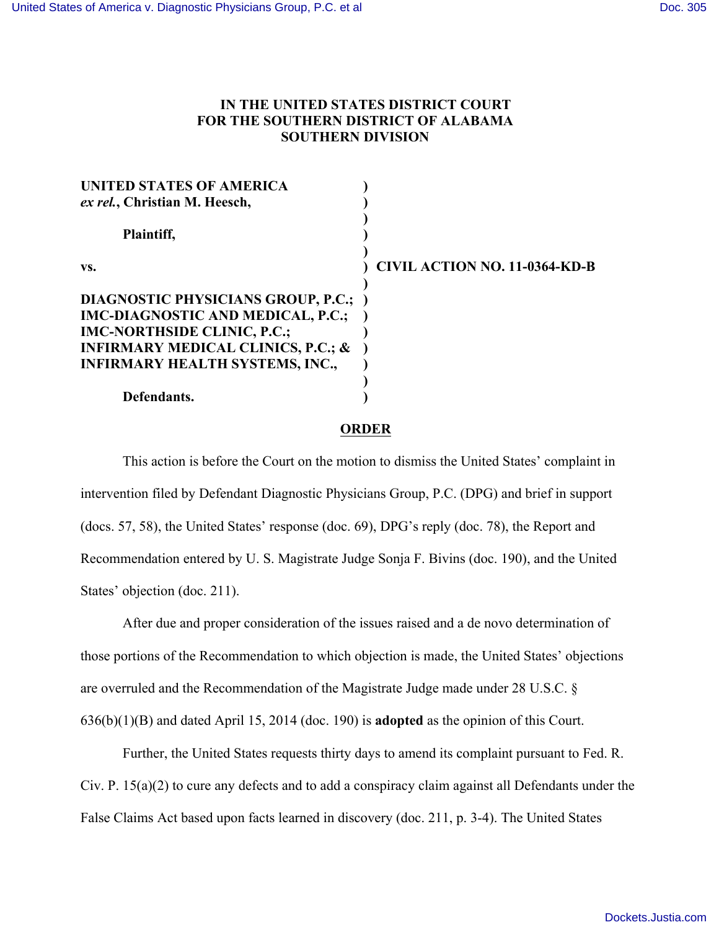## **IN THE UNITED STATES DISTRICT COURT FOR THE SOUTHERN DISTRICT OF ALABAMA SOUTHERN DIVISION**

| UNITED STATES OF AMERICA                      |                                      |
|-----------------------------------------------|--------------------------------------|
| ex rel., Christian M. Heesch,                 |                                      |
| Plaintiff,                                    |                                      |
| VS.                                           | <b>CIVIL ACTION NO. 11-0364-KD-B</b> |
| <b>DIAGNOSTIC PHYSICIANS GROUP, P.C.;</b>     |                                      |
| IMC-DIAGNOSTIC AND MEDICAL, P.C.;             |                                      |
| <b>IMC-NORTHSIDE CLINIC, P.C.;</b>            |                                      |
| <b>INFIRMARY MEDICAL CLINICS, P.C.; &amp;</b> |                                      |
| <b>INFIRMARY HEALTH SYSTEMS, INC.,</b>        |                                      |
|                                               |                                      |
| Defendants.                                   |                                      |

## **ORDER**

This action is before the Court on the motion to dismiss the United States' complaint in intervention filed by Defendant Diagnostic Physicians Group, P.C. (DPG) and brief in support (docs. 57, 58), the United States' response (doc. 69), DPG's reply (doc. 78), the Report and Recommendation entered by U. S. Magistrate Judge Sonja F. Bivins (doc. 190), and the United States' objection (doc. 211).

After due and proper consideration of the issues raised and a de novo determination of those portions of the Recommendation to which objection is made, the United States' objections are overruled and the Recommendation of the Magistrate Judge made under 28 U.S.C. § 636(b)(1)(B) and dated April 15, 2014 (doc. 190) is **adopted** as the opinion of this Court.

Further, the United States requests thirty days to amend its complaint pursuant to Fed. R. Civ. P. 15(a)(2) to cure any defects and to add a conspiracy claim against all Defendants under the False Claims Act based upon facts learned in discovery (doc. 211, p. 3-4). The United States